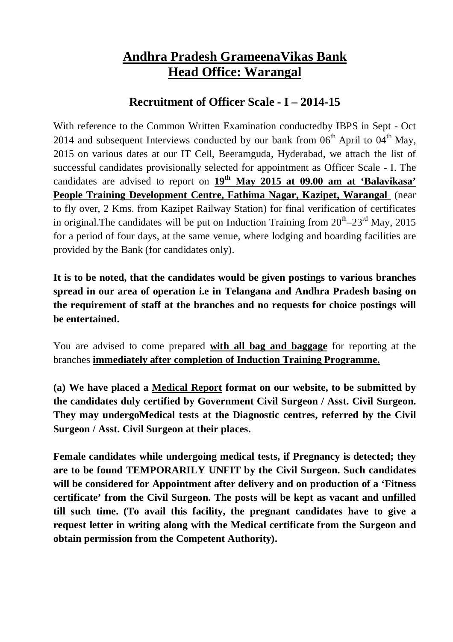## **Andhra Pradesh GrameenaVikas Bank Head Office: Warangal**

## **Recruitment of Officer Scale - I – 2014-15**

With reference to the Common Written Examination conductedby IBPS in Sept - Oct 2014 and subsequent Interviews conducted by our bank from  $06<sup>th</sup>$  April to  $04<sup>th</sup>$  May, 2015 on various dates at our IT Cell, Beeramguda, Hyderabad, we attach the list of successful candidates provisionally selected for appointment as Officer Scale - I. The candidates are advised to report on **19 th May 2015 at 09.00 am at 'Balavikasa' People Training Development Centre, Fathima Nagar, Kazipet, Warangal** (near to fly over, 2 Kms. from Kazipet Railway Station) for final verification of certificates in original. The candidates will be put on Induction Training from  $20^{th} - 23^{rd}$  May,  $2015$ for a period of four days, at the same venue, where lodging and boarding facilities are provided by the Bank (for candidates only).

**It is to be noted, that the candidates would be given postings to various branches spread in our area of operation i.e in Telangana and Andhra Pradesh basing on the requirement of staff at the branches and no requests for choice postings will be entertained.**

You are advised to come prepared **with all bag and baggage** for reporting at the branches **immediately after completion of Induction Training Programme.**

**(a) We have placed a Medical Report format on our website, to be submitted by the candidates duly certified by Government Civil Surgeon / Asst. Civil Surgeon. They may undergoMedical tests at the Diagnostic centres, referred by the Civil Surgeon / Asst. Civil Surgeon at their places.**

**Female candidates while undergoing medical tests, if Pregnancy is detected; they are to be found TEMPORARILY UNFIT by the Civil Surgeon. Such candidates will be considered for Appointment after delivery and on production of a 'Fitness certificate' from the Civil Surgeon. The posts will be kept as vacant and unfilled till such time. (To avail this facility, the pregnant candidates have to give a request letter in writing along with the Medical certificate from the Surgeon and obtain permission from the Competent Authority).**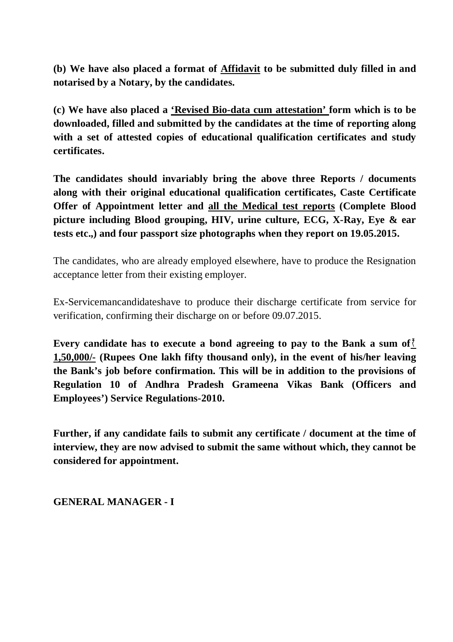**(b) We have also placed a format of Affidavit to be submitted duly filled in and notarised by a Notary, by the candidates.**

**(c) We have also placed a 'Revised Bio-data cum attestation' form which is to be downloaded, filled and submitted by the candidates at the time of reporting along with a set of attested copies of educational qualification certificates and study certificates.**

**The candidates should invariably bring the above three Reports / documents along with their original educational qualification certificates, Caste Certificate Offer of Appointment letter and all the Medical test reports (Complete Blood picture including Blood grouping, HIV, urine culture, ECG, X-Ray, Eye & ear tests etc.,) and four passport size photographs when they report on 19.05.2015.**

The candidates, who are already employed elsewhere, have to produce the Resignation acceptance letter from their existing employer.

Ex-Servicemancandidateshave to produce their discharge certificate from service for verification, confirming their discharge on or before 09.07.2015.

**Every candidate has to execute a bond agreeing to pay to the Bank a sum of 1,50,000/- (Rupees One lakh fifty thousand only), in the event of his/her leaving the Bank's job before confirmation. This will be in addition to the provisions of Regulation 10 of Andhra Pradesh Grameena Vikas Bank (Officers and Employees') Service Regulations-2010.**

**Further, if any candidate fails to submit any certificate / document at the time of interview, they are now advised to submit the same without which, they cannot be considered for appointment.**

**GENERAL MANAGER - I**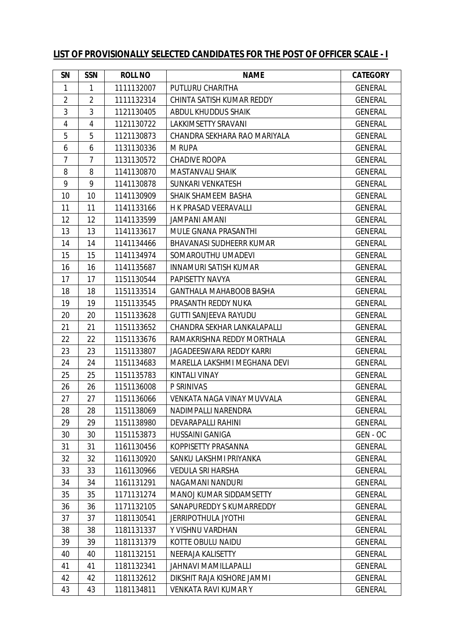## **LIST OF PROVISIONALLY SELECTED CANDIDATES FOR THE POST OF OFFICER SCALE - I**

| SN             | <b>SSN</b>     | <b>ROLL NO</b> | <b>NAME</b>                       | <b>CATEGORY</b> |
|----------------|----------------|----------------|-----------------------------------|-----------------|
| 1              | 1              | 1111132007     | PUTLURU CHARITHA                  | <b>GENERAL</b>  |
| $\overline{2}$ | $\overline{2}$ | 1111132314     | CHINTA SATISH KUMAR REDDY         | <b>GENERAL</b>  |
| 3              | 3              | 1121130405     | ABDUL KHUDDUS SHAIK               | <b>GENERAL</b>  |
| $\overline{4}$ | 4              | 1121130722     | LAKKIMSETTY SRAVANI               | <b>GENERAL</b>  |
| 5              | 5              | 1121130873     | CHANDRA SEKHARA RAO MARIYALA      | <b>GENERAL</b>  |
| 6              | 6              | 1131130336     | <b>M RUPA</b>                     | <b>GENERAL</b>  |
| $\overline{7}$ | $\overline{7}$ | 1131130572     | <b>CHADIVE ROOPA</b>              | <b>GENERAL</b>  |
| 8              | 8              | 1141130870     | <b>MASTANVALI SHAIK</b>           | <b>GENERAL</b>  |
| 9              | 9              | 1141130878     | SUNKARI VENKATESH                 | <b>GENERAL</b>  |
| 10             | 10             | 1141130909     | SHAIK SHAMEEM BASHA               | <b>GENERAL</b>  |
| 11             | 11             | 1141133166     | H K PRASAD VEERAVALLI             | <b>GENERAL</b>  |
| 12             | 12             | 1141133599     | <b>JAMPANI AMANI</b>              | <b>GENERAL</b>  |
| 13             | 13             | 1141133617     | MULE GNANA PRASANTHI              | <b>GENERAL</b>  |
| 14             | 14             | 1141134466     | <b>BHAVANASI SUDHEERR KUMAR</b>   | <b>GENERAL</b>  |
| 15             | 15             | 1141134974     | SOMAROUTHU UMADEVI                | <b>GENERAL</b>  |
| 16             | 16             | 1141135687     | <b>INNAMURI SATISH KUMAR</b>      | <b>GENERAL</b>  |
| 17             | 17             | 1151130544     | PAPISETTY NAVYA                   | <b>GENERAL</b>  |
| 18             | 18             | 1151133514     | <b>GANTHALA MAHABOOB BASHA</b>    | <b>GENERAL</b>  |
| 19             | 19             | 1151133545     | PRASANTH REDDY NUKA               | <b>GENERAL</b>  |
| 20             | 20             | 1151133628     | <b>GUTTI SANJEEVA RAYUDU</b>      | <b>GENERAL</b>  |
| 21             | 21             | 1151133652     | CHANDRA SEKHAR LANKALAPALLI       | <b>GENERAL</b>  |
| 22             | 22             | 1151133676     | RAMAKRISHNA REDDY MORTHALA        | <b>GENERAL</b>  |
| 23             | 23             | 1151133807     | JAGADEESWARA REDDY KARRI          | <b>GENERAL</b>  |
| 24             | 24             | 1151134683     | MARELLA LAKSHMI MEGHANA DEVI      | <b>GENERAL</b>  |
| 25             | 25             | 1151135783     | KINTALI VINAY                     | <b>GENERAL</b>  |
| 26             | 26             | 1151136008     | P SRINIVAS                        | <b>GENERAL</b>  |
| 27             | 27             | 1151136066     | <b>VENKATA NAGA VINAY MUVVALA</b> | <b>GENERAL</b>  |
| 28             | 28             | 1151138069     | NADIMPALLI NARENDRA               | <b>GENERAL</b>  |
| 29             | 29             | 1151138980     | DEVARAPALLI RAHINI                | <b>GENERAL</b>  |
| 30             | 30             | 1151153873     | <b>HUSSAINI GANIGA</b>            | GEN - OC        |
| 31             | 31             | 1161130456     | KOPPISETTY PRASANNA               | <b>GENERAL</b>  |
| 32             | 32             | 1161130920     | SANKU LAKSHMI PRIYANKA            | <b>GENERAL</b>  |
| 33             | 33             | 1161130966     | <b>VEDULA SRI HARSHA</b>          | <b>GENERAL</b>  |
| 34             | 34             | 1161131291     | NAGAMANI NANDURI                  | <b>GENERAL</b>  |
| 35             | 35             | 1171131274     | MANOJ KUMAR SIDDAMSETTY           | <b>GENERAL</b>  |
| 36             | 36             | 1171132105     | SANAPUREDDY S KUMARREDDY          | <b>GENERAL</b>  |
| 37             | 37             | 1181130541     | <b>JERRIPOTHULA JYOTHI</b>        | <b>GENERAL</b>  |
| 38             | 38             | 1181131337     | Y VISHNU VARDHAN                  | <b>GENERAL</b>  |
| 39             | 39             | 1181131379     | KOTTE OBULU NAIDU                 | <b>GENERAL</b>  |
| 40             | 40             | 1181132151     | NEERAJA KALISETTY                 | <b>GENERAL</b>  |
| 41             | 41             | 1181132341     | <b>JAHNAVI MAMILLAPALLI</b>       | <b>GENERAL</b>  |
| 42             | 42             | 1181132612     | DIKSHIT RAJA KISHORE JAMMI        | <b>GENERAL</b>  |
| 43             | 43             | 1181134811     | <b>VENKATA RAVI KUMAR Y</b>       | <b>GENERAL</b>  |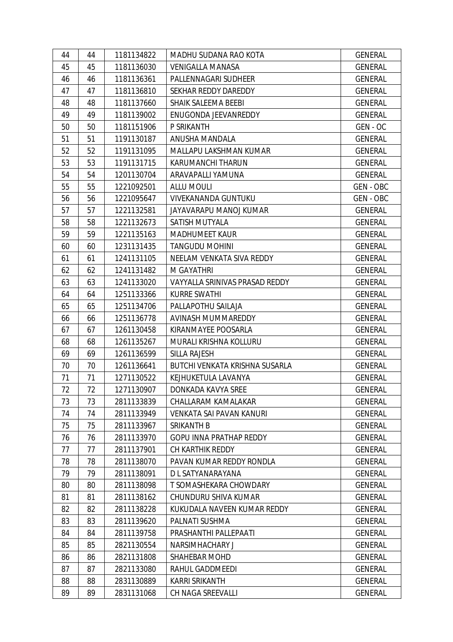| 44 | 44 | 1181134822 | MADHU SUDANA RAO KOTA          | <b>GENERAL</b>   |
|----|----|------------|--------------------------------|------------------|
| 45 | 45 | 1181136030 | <b>VENIGALLA MANASA</b>        | <b>GENERAL</b>   |
| 46 | 46 | 1181136361 | PALLENNAGARI SUDHEER           | <b>GENERAL</b>   |
| 47 | 47 | 1181136810 | SEKHAR REDDY DAREDDY           | <b>GENERAL</b>   |
| 48 | 48 | 1181137660 | SHAIK SALEEMA BEEBI            | <b>GENERAL</b>   |
| 49 | 49 | 1181139002 | ENUGONDA JEEVANREDDY           | <b>GENERAL</b>   |
| 50 | 50 | 1181151906 | P SRIKANTH                     | GEN - OC         |
| 51 | 51 | 1191130187 | ANUSHA MANDALA                 | <b>GENERAL</b>   |
| 52 | 52 | 1191131095 | MALLAPU LAKSHMAN KUMAR         | <b>GENERAL</b>   |
| 53 | 53 | 1191131715 | KARUMANCHI THARUN              | <b>GENERAL</b>   |
| 54 | 54 | 1201130704 | ARAVAPALLI YAMUNA              | <b>GENERAL</b>   |
| 55 | 55 | 1221092501 | <b>ALLU MOULI</b>              | <b>GEN - OBC</b> |
| 56 | 56 | 1221095647 | VIVEKANANDA GUNTUKU            | GEN-OBC          |
| 57 | 57 | 1221132581 | JAYAVARAPU MANOJ KUMAR         | <b>GENERAL</b>   |
| 58 | 58 | 1221132673 | SATISH MUTYALA                 | <b>GENERAL</b>   |
| 59 | 59 | 1221135163 | <b>MADHUMEET KAUR</b>          | <b>GENERAL</b>   |
| 60 | 60 | 1231131435 | <b>TANGUDU MOHINI</b>          | <b>GENERAL</b>   |
| 61 | 61 | 1241131105 | NEELAM VENKATA SIVA REDDY      | <b>GENERAL</b>   |
| 62 | 62 | 1241131482 | M GAYATHRI                     | <b>GENERAL</b>   |
| 63 | 63 | 1241133020 | VAYYALLA SRINIVAS PRASAD REDDY | <b>GENERAL</b>   |
| 64 | 64 | 1251133366 | <b>KURRE SWATHI</b>            | <b>GENERAL</b>   |
| 65 | 65 | 1251134706 | PALLAPOTHU SAILAJA             | <b>GENERAL</b>   |
| 66 | 66 | 1251136778 | AVINASH MUMMAREDDY             | <b>GENERAL</b>   |
| 67 | 67 | 1261130458 | KIRANMAYEE POOSARLA            | <b>GENERAL</b>   |
| 68 | 68 | 1261135267 | MURALI KRISHNA KOLLURU         | <b>GENERAL</b>   |
| 69 | 69 | 1261136599 | <b>SILLA RAJESH</b>            | <b>GENERAL</b>   |
| 70 | 70 | 1261136641 | BUTCHI VENKATA KRISHNA SUSARLA | <b>GENERAL</b>   |
| 71 | 71 | 1271130522 | KEJHUKETULA LAVANYA            | <b>GENERAL</b>   |
| 72 | 72 | 1271130907 | DONKADA KAVYA SREE             | <b>GENERAL</b>   |
| 73 | 73 | 2811133839 | CHALLARAM KAMALAKAR            | <b>GENERAL</b>   |
| 74 | 74 | 2811133949 | VENKATA SAI PAVAN KANURI       | <b>GENERAL</b>   |
| 75 | 75 | 2811133967 | SRIKANTH B                     | <b>GENERAL</b>   |
| 76 | 76 | 2811133970 | <b>GOPU INNA PRATHAP REDDY</b> | <b>GENERAL</b>   |
| 77 | 77 | 2811137901 | CH KARTHIK REDDY               | <b>GENERAL</b>   |
| 78 | 78 | 2811138070 | PAVAN KUMAR REDDY RONDLA       | <b>GENERAL</b>   |
| 79 | 79 | 2811138091 | D L SATYANARAYANA              | <b>GENERAL</b>   |
| 80 | 80 | 2811138098 | T SOMASHEKARA CHOWDARY         | <b>GENERAL</b>   |
| 81 | 81 | 2811138162 | CHUNDURU SHIVA KUMAR           | <b>GENERAL</b>   |
| 82 | 82 | 2811138228 | KUKUDALA NAVEEN KUMAR REDDY    | <b>GENERAL</b>   |
| 83 | 83 | 2811139620 | PALNATI SUSHMA                 | <b>GENERAL</b>   |
| 84 | 84 | 2811139758 | PRASHANTHI PALLEPAATI          | <b>GENERAL</b>   |
| 85 | 85 | 2821130554 | <b>NARSIMHACHARY J</b>         | <b>GENERAL</b>   |
| 86 | 86 | 2821131808 | SHAHEBAR MOHD                  | <b>GENERAL</b>   |
| 87 | 87 | 2821133080 | RAHUL GADDMEEDI                | <b>GENERAL</b>   |
| 88 | 88 | 2831130889 | <b>KARRI SRIKANTH</b>          | <b>GENERAL</b>   |
| 89 | 89 | 2831131068 | CH NAGA SREEVALLI              | <b>GENERAL</b>   |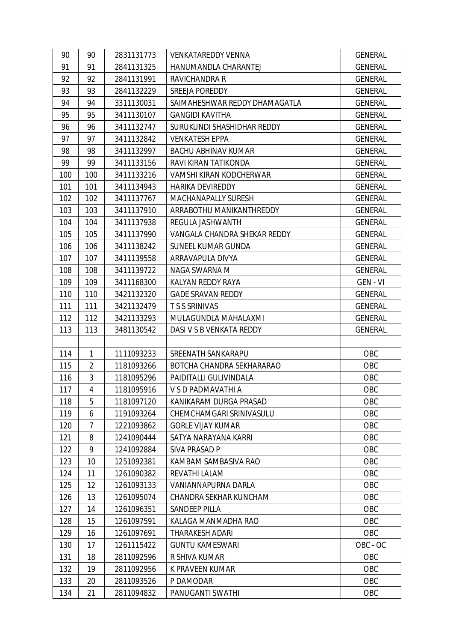| 90  | 90             | 2831131773 | <b>VENKATAREDDY VENNA</b>     | <b>GENERAL</b> |
|-----|----------------|------------|-------------------------------|----------------|
| 91  | 91             | 2841131325 | HANUMANDLA CHARANTEJ          | <b>GENERAL</b> |
| 92  | 92             | 2841131991 | <b>RAVICHANDRA R</b>          | <b>GENERAL</b> |
| 93  | 93             | 2841132229 | SREEJA POREDDY                | <b>GENERAL</b> |
| 94  | 94             | 3311130031 | SAIMAHESHWAR REDDY DHAMAGATLA | <b>GENERAL</b> |
| 95  | 95             | 3411130107 | <b>GANGIDI KAVITHA</b>        | <b>GENERAL</b> |
| 96  | 96             | 3411132747 | SURUKUNDI SHASHIDHAR REDDY    | <b>GENERAL</b> |
| 97  | 97             | 3411132842 | <b>VENKATESH EPPA</b>         | <b>GENERAL</b> |
| 98  | 98             | 3411132997 | <b>BACHU ABHINAV KUMAR</b>    | <b>GENERAL</b> |
| 99  | 99             | 3411133156 | RAVI KIRAN TATIKONDA          | <b>GENERAL</b> |
| 100 | 100            | 3411133216 | VAMSHI KIRAN KODCHERWAR       | <b>GENERAL</b> |
| 101 | 101            | 3411134943 | <b>HARIKA DEVIREDDY</b>       | <b>GENERAL</b> |
| 102 | 102            | 3411137767 | MACHANAPALLY SURESH           | <b>GENERAL</b> |
| 103 | 103            | 3411137910 | ARRABOTHU MANIKANTHREDDY      | <b>GENERAL</b> |
| 104 | 104            | 3411137938 | REGULA JASHWANTH              | <b>GENERAL</b> |
| 105 | 105            | 3411137990 | VANGALA CHANDRA SHEKAR REDDY  | <b>GENERAL</b> |
| 106 | 106            | 3411138242 | SUNEEL KUMAR GUNDA            | <b>GENERAL</b> |
| 107 | 107            | 3411139558 | ARRAVAPULA DIVYA              | <b>GENERAL</b> |
| 108 | 108            | 3411139722 | NAGA SWARNA M                 | <b>GENERAL</b> |
| 109 | 109            | 3411168300 | KALYAN REDDY RAYA             | GEN - VI       |
| 110 | 110            | 3421132320 | <b>GADE SRAVAN REDDY</b>      | <b>GENERAL</b> |
| 111 | 111            | 3421132479 | <b>TSS SRINIVAS</b>           | <b>GENERAL</b> |
| 112 | 112            | 3421133293 | MULAGUNDLA MAHALAXMI          | <b>GENERAL</b> |
|     |                |            |                               |                |
| 113 | 113            | 3481130542 | DASI V S B VENKATA REDDY      | <b>GENERAL</b> |
|     |                |            |                               |                |
| 114 | 1              | 1111093233 | SREENATH SANKARAPU            | OBC            |
| 115 | $\overline{2}$ | 1181093266 | BOTCHA CHANDRA SEKHARARAO     | OBC            |
| 116 | $\overline{3}$ | 1181095296 | PAIDITALLI GULIVINDALA        | OBC            |
| 117 | $\overline{4}$ | 1181095916 | V S D PADMAVATHI A            | OBC            |
| 118 | 5              | 1181097120 | KANIKARAM DURGA PRASAD        | OBC            |
| 119 | 6              | 1191093264 | CHEMCHAMGARI SRINIVASULU      | OBC            |
| 120 | 7              | 1221093862 | <b>GORLE VIJAY KUMAR</b>      | OBC            |
| 121 | 8              | 1241090444 | SATYA NARAYANA KARRI          | OBC            |
| 122 | 9              | 1241092884 | SIVA PRASAD P                 | OBC            |
| 123 | 10             | 1251092381 | KAMBAM SAMBASIVA RAO          | OBC            |
| 124 | 11             | 1261090382 | REVATHI LALAM                 | OBC            |
| 125 | 12             | 1261093133 | VANIANNAPURNA DARLA           | OBC            |
| 126 | 13             | 1261095074 | CHANDRA SEKHAR KUNCHAM        | OBC            |
| 127 | 14             | 1261096351 | <b>SANDEEP PILLA</b>          | OBC            |
| 128 | 15             | 1261097591 | KALAGA MANMADHA RAO           | OBC            |
| 129 | 16             | 1261097691 | THARAKESH ADARI               | OBC            |
| 130 | 17             | 1261115422 | <b>GUNTU KAMESWARI</b>        | OBC - OC       |
| 131 | 18             | 2811092596 | R SHIVA KUMAR                 | OBC            |
| 132 | 19             | 2811092956 | K PRAVEEN KUMAR               | OBC            |
| 133 | 20             | 2811093526 | P DAMODAR                     | OBC            |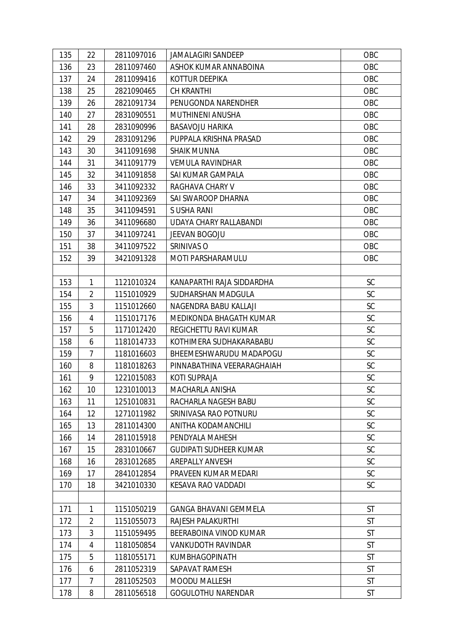| 135 | 22             | 2811097016 | <b>JAMALAGIRI SANDEEP</b>     | OBC       |
|-----|----------------|------------|-------------------------------|-----------|
| 136 | 23             | 2811097460 | ASHOK KUMAR ANNABOINA         | OBC       |
| 137 | 24             | 2811099416 | KOTTUR DEEPIKA                | OBC       |
| 138 | 25             | 2821090465 | <b>CH KRANTHI</b>             | OBC       |
| 139 | 26             | 2821091734 | PENUGONDA NARENDHER           | OBC       |
| 140 | 27             | 2831090551 | MUTHINENI ANUSHA              | OBC       |
| 141 | 28             | 2831090996 | <b>BASAVOJU HARIKA</b>        | OBC       |
| 142 | 29             | 2831091296 | PUPPALA KRISHNA PRASAD        | OBC       |
| 143 | 30             | 3411091698 | <b>SHAIK MUNNA</b>            | OBC       |
| 144 | 31             | 3411091779 | <b>VEMULA RAVINDHAR</b>       | OBC       |
| 145 | 32             | 3411091858 | SAI KUMAR GAMPALA             | OBC       |
| 146 | 33             | 3411092332 | RAGHAVA CHARY V               | OBC       |
| 147 | 34             | 3411092369 | SAI SWAROOP DHARNA            | OBC       |
| 148 | 35             | 3411094591 | S USHA RANI                   | OBC       |
| 149 | 36             | 3411096680 | UDAYA CHARY RALLABANDI        | OBC       |
| 150 | 37             | 3411097241 | JEEVAN BOGOJU                 | OBC       |
| 151 | 38             | 3411097522 | SRINIVAS O                    | OBC       |
| 152 | 39             | 3421091328 | MOTI PARSHARAMULU             | OBC       |
|     |                |            |                               |           |
| 153 | $\mathbf{1}$   | 1121010324 | KANAPARTHI RAJA SIDDARDHA     | SC        |
| 154 | $\overline{2}$ | 1151010929 | SUDHARSHAN MADGULA            | SC        |
| 155 | 3              | 1151012660 | NAGENDRA BABU KALLAJI         | SC        |
| 156 | 4              | 1151017176 | MEDIKONDA BHAGATH KUMAR       | <b>SC</b> |
| 157 | 5              | 1171012420 | REGICHETTU RAVI KUMAR         | SC        |
| 158 | 6              | 1181014733 | KOTHIMERA SUDHAKARABABU       | <b>SC</b> |
| 159 | $\overline{7}$ | 1181016603 | BHEEMESHWARUDU MADAPOGU       | SC        |
| 160 | 8              | 1181018263 | PINNABATHINA VEERARAGHAIAH    | SC        |
| 161 | 9              | 1221015083 | <b>KOTI SUPRAJA</b>           | SC        |
| 162 | 10             | 1231010013 | MACHARLA ANISHA               | SC        |
| 163 | 11             | 1251010831 | RACHARLA NAGESH BABU          | SC        |
| 164 | 12             | 1271011982 | SRINIVASA RAO POTNURU         | SC        |
| 165 | 13             | 2811014300 | ANITHA KODAMANCHILI           | <b>SC</b> |
| 166 | 14             | 2811015918 | PENDYALA MAHESH               | SC        |
| 167 | 15             | 2831010667 | <b>GUDIPATI SUDHEER KUMAR</b> | <b>SC</b> |
| 168 | 16             | 2831012685 | <b>AREPALLY ANVESH</b>        | SC        |
| 169 | 17             | 2841012854 | PRAVEEN KUMAR MEDARI          | SC        |
| 170 | 18             | 3421010330 | KESAVA RAO VADDADI            | SC        |
|     |                |            |                               |           |
| 171 | 1              | 1151050219 | <b>GANGA BHAVANI GEMMELA</b>  | <b>ST</b> |
| 172 | 2              | 1151055073 | RAJESH PALAKURTHI             | <b>ST</b> |
| 173 | 3              | 1151059495 | BEERABOINA VINOD KUMAR        | <b>ST</b> |
| 174 | 4              | 1181050854 | VANKUDOTH RAVINDAR            | <b>ST</b> |
| 175 | 5              | 1181055171 | <b>KUMBHAGOPINATH</b>         | <b>ST</b> |
| 176 | 6              | 2811052319 | SAPAVAT RAMESH                | <b>ST</b> |
| 177 | 7              | 2811052503 | <b>MOODU MALLESH</b>          | <b>ST</b> |
| 178 | 8              | 2811056518 | <b>GOGULOTHU NARENDAR</b>     | ST        |